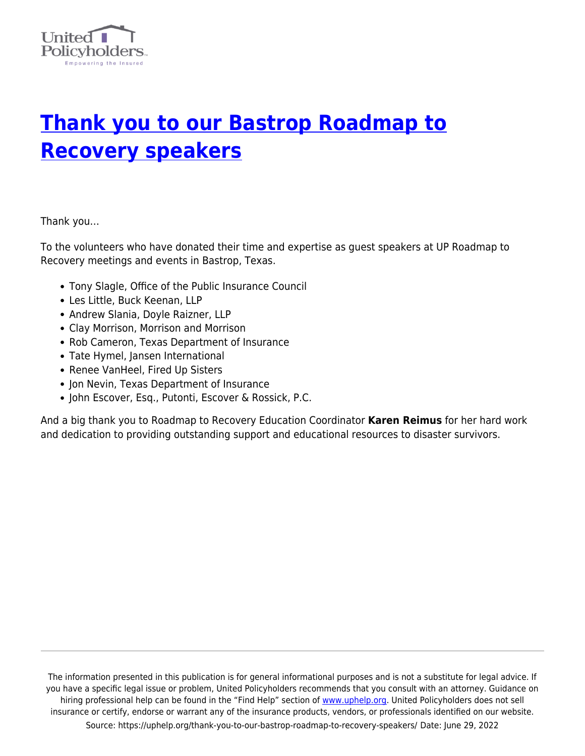

## **[Thank you to our Bastrop Roadmap to](https://uphelp.org/thank-you-to-our-bastrop-roadmap-to-recovery-speakers/) [Recovery speakers](https://uphelp.org/thank-you-to-our-bastrop-roadmap-to-recovery-speakers/)**

Thank you…

To the volunteers who have donated their time and expertise as guest speakers at UP Roadmap to Recovery meetings and events in Bastrop, Texas.

- Tony Slagle, Office of the Public Insurance Council
- Les Little, Buck Keenan, LLP
- Andrew Slania, Doyle Raizner, LLP
- Clay Morrison, Morrison and Morrison
- Rob Cameron, Texas Department of Insurance
- Tate Hymel, Jansen International
- Renee VanHeel, Fired Up Sisters
- Jon Nevin, Texas Department of Insurance
- John Escover, Esq., Putonti, Escover & Rossick, P.C.

And a big thank you to Roadmap to Recovery Education Coordinator **Karen Reimus** for her hard work and dedication to providing outstanding support and educational resources to disaster survivors.

The information presented in this publication is for general informational purposes and is not a substitute for legal advice. If you have a specific legal issue or problem, United Policyholders recommends that you consult with an attorney. Guidance on hiring professional help can be found in the "Find Help" section of [www.uphelp.org.](http://www.uphelp.org/) United Policyholders does not sell insurance or certify, endorse or warrant any of the insurance products, vendors, or professionals identified on our website. Source: https://uphelp.org/thank-you-to-our-bastrop-roadmap-to-recovery-speakers/ Date: June 29, 2022